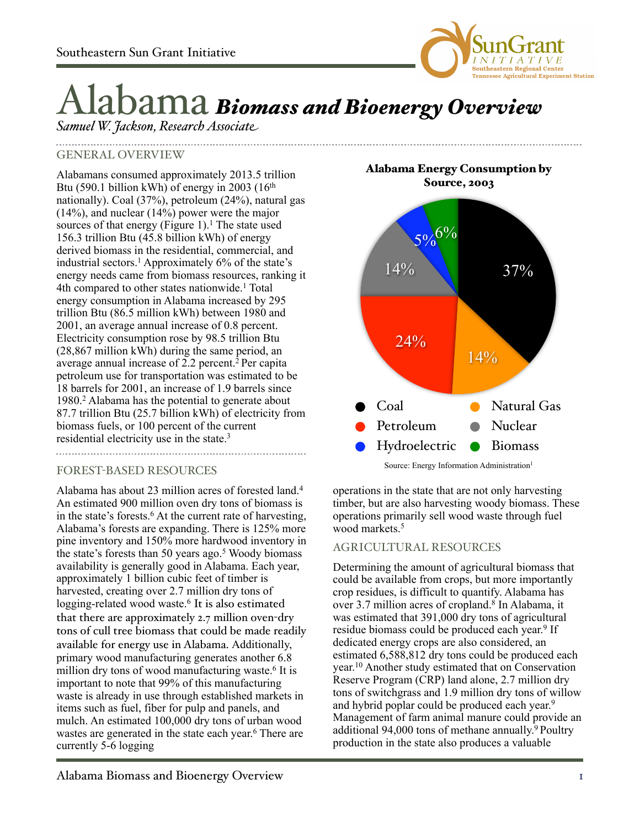

# Alabama *Biomass and Bioenergy Overview*

*Samuel W. Jackson, Research Associate*

# GENERAL OVERVIEW

Alabamans consumed approximately 2013.5 trillion Btu (590.1 billion kWh) of energy in 2003 ( $16<sup>th</sup>$ nationally). Coal (37%), petroleum (24%), natural gas  $(14\%)$ , and nuclear  $(14\%)$  power were the major sources of that energy (Figure 1).<sup>1</sup> The state used 156.3 trillion Btu (45.8 billion kWh) of energy derived biomass in the residential, commercial, and industrial sectors.<sup>1</sup> Approximately  $6\%$  of the state's energy needs came from biomass resources, ranking it 4th compared to other states nationwide.<sup>1</sup> Total energy consumption in Alabama increased by 295 trillion Btu (86.5 million kWh) between 1980 and 2001, an average annual increase of 0.8 percent. Electricity consumption rose by 98.5 trillion Btu (28,867 million kWh) during the same period, an average annual increase of  $2.2$  percent.<sup>2</sup> Per capita petroleum use for transportation was estimated to be 18 barrels for 2001, an increase of 1.9 barrels since 1980.2 Alabama has the potential to generate about 87.7 trillion Btu (25.7 billion kWh) of electricity from biomass fuels, or 100 percent of the current residential electricity use in the state.3

## FOREST-BASED RESOURCES

Alabama has about 23 million acres of forested land.4 An estimated 900 million oven dry tons of biomass is in the state's forests.<sup>6</sup> At the current rate of harvesting, Alabama's forests are expanding. There is 125% more pine inventory and 150% more hardwood inventory in the state's forests than 50 years ago.<sup>5</sup> Woody biomass availability is generally good in Alabama. Each year, approximately 1 billion cubic feet of timber is harvested, creating over 2.7 million dry tons of logging-related wood waste.<sup>6</sup> It is also estimated that there are approximately 2.7 million oven-dry tons of cull tree biomass that could be made readily available for energy use in Alabama. Additionally, primary wood manufacturing generates another 6.8 million dry tons of wood manufacturing waste.<sup>6</sup> It is important to note that 99% of this manufacturing waste is already in use through established markets in items such as fuel, fiber for pulp and panels, and mulch. An estimated 100,000 dry tons of urban wood wastes are generated in the state each year. <sup>6</sup> There are currently 5-6 logging

Alabama Energy Consumption by Source, 2003



operations in the state that are not only harvesting timber, but are also harvesting woody biomass. These operations primarily sell wood waste through fuel wood markets.<sup>5</sup>

## AGRICULTURAL RESOURCES

Determining the amount of agricultural biomass that could be available from crops, but more importantly crop residues, is difficult to quantify. Alabama has over 3.7 million acres of cropland.<sup>8</sup> In Alabama, it was estimated that 391,000 dry tons of agricultural residue biomass could be produced each year. 9 If dedicated energy crops are also considered, an estimated 6,588,812 dry tons could be produced each year. <sup>10</sup> Another study estimated that on Conservation Reserve Program (CRP) land alone, 2.7 million dry tons of switchgrass and 1.9 million dry tons of willow and hybrid poplar could be produced each year. 9 Management of farm animal manure could provide an additional 94,000 tons of methane annually. 9 Poultry production in the state also produces a valuable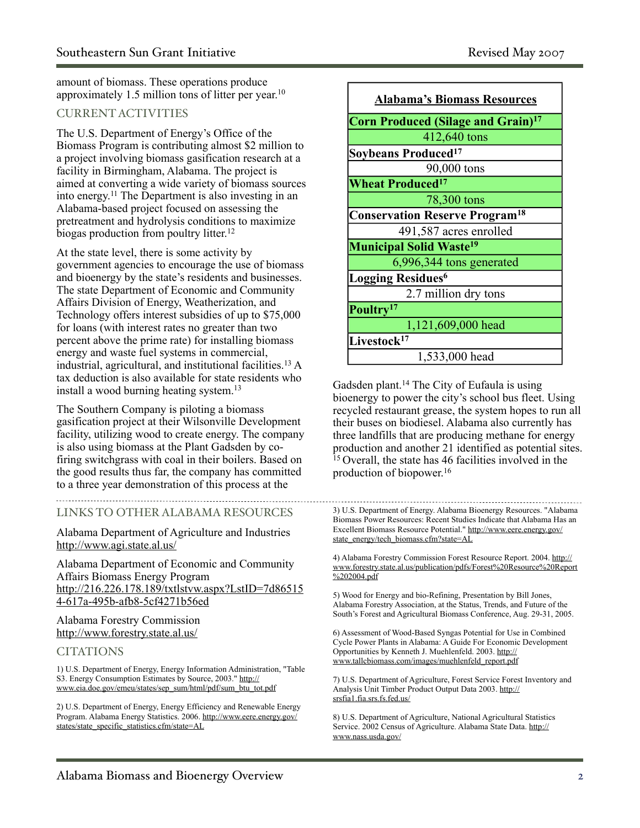amount of biomass. These operations produce approximately 1.5 million tons of litter per year.<sup>10</sup>

## CURRENT ACTIVITIES

The U.S. Department of Energy's Office of the Biomass Program is contributing almost \$2 million to a project involving biomass gasification research at a facility in Birmingham, Alabama. The project is aimed at converting a wide variety of biomass sources into energy. <sup>11</sup> The Department is also investing in an Alabama-based project focused on assessing the pretreatment and hydrolysis conditions to maximize biogas production from poultry litter.<sup>12</sup>

At the state level, there is some activity by government agencies to encourage the use of biomass and bioenergy by the state's residents and businesses. The state Department of Economic and Community Affairs Division of Energy, Weatherization, and Technology offers interest subsidies of up to \$75,000 for loans (with interest rates no greater than two percent above the prime rate) for installing biomass energy and waste fuel systems in commercial, industrial, agricultural, and institutional facilities.13 A tax deduction is also available for state residents who install a wood burning heating system.13

The Southern Company is piloting a biomass gasification project at their Wilsonville Development facility, utilizing wood to create energy. The company is also using biomass at the Plant Gadsden by cofiring switchgrass with coal in their boilers. Based on the good results thus far, the company has committed to a three year demonstration of this process at the

## LINKS TO OTHER ALABAMA RESOURCES

Alabama Department of Agriculture and Industries <http://www.agi.state.al.us/>

Alabama Department of Economic and Community Affairs Biomass Energy Program [http://216.226.178.189/txtlstvw.aspx?LstID=7d86515](http://216.226.178.189/txtlstvw.aspx?LstID=7d865154-617a-495b-afb8-5cf4271b56ed) [4-617a-495b-afb8-5cf4271b56ed](http://216.226.178.189/txtlstvw.aspx?LstID=7d865154-617a-495b-afb8-5cf4271b56ed)

#### Alabama Forestry Commission <http://www.forestry.state.al.us/>

#### **CITATIONS**

1) U.S. Department of Energy, Energy Information Administration, "Table S3. Energy Consumption Estimates by Source, 2003." [http://](http://www.eia.doe.gov/emeu/states/sep_sum/html/pdf/sum_btu_tot.pdf) [www.eia.doe.gov/emeu/states/sep\\_sum/html/pdf/sum\\_btu\\_tot.pdf](http://www.eia.doe.gov/emeu/states/sep_sum/html/pdf/sum_btu_tot.pdf)

2) U.S. Department of Energy, Energy Efficiency and Renewable Energy Program. Alabama Energy Statistics. 2006. [http://www.eere.energy.gov/](http://www.eere.energy.gov/states/state_specific_statistics.cfm/state=AL) [states/state\\_specific\\_statistics.cfm/state=AL](http://www.eere.energy.gov/states/state_specific_statistics.cfm/state=AL)



Gadsden plant.14 The City of Eufaula is using bioenergy to power the city's school bus fleet. Using recycled restaurant grease, the system hopes to run all their buses on biodiesel. Alabama also currently has three landfills that are producing methane for energy production and another 21 identified as potential sites. <sup>15</sup> Overall, the state has 46 facilities involved in the production of biopower. 16

4) Alabama Forestry Commission Forest Resource Report. 2004. [http://](http://www.forestry.state.al.us/publication/pdfs/Forest%20Resource%20Report%202004.pdf) [www.forestry.state.al.us/publication/pdfs/Forest%20Resource%20Report](http://www.forestry.state.al.us/publication/pdfs/Forest%20Resource%20Report%202004.pdf) [%202004.pdf](http://www.forestry.state.al.us/publication/pdfs/Forest%20Resource%20Report%202004.pdf)

5) Wood for Energy and bio-Refining, Presentation by Bill Jones, Alabama Forestry Association, at the Status, Trends, and Future of the South's Forest and Agricultural Biomass Conference, Aug. 29-31, 2005.

6) Assessment of Wood-Based Syngas Potential for Use in Combined Cycle Power Plants in Alabama: A Guide For Economic Development Opportunities by Kenneth J. Muehlenfeld. 2003. [http://](http://www.tallcbiomass.com/images/muehlenfeld_report.pdf) [www.tallcbiomass.com/images/muehlenfeld\\_report.pdf](http://www.tallcbiomass.com/images/muehlenfeld_report.pdf)

7) U.S. Department of Agriculture, Forest Service Forest Inventory and Analysis Unit Timber Product Output Data 2003. [http://](http://srsfia1.fia.srs.fs.fed.us/) [srsfia1.fia.srs.fs.fed.us/](http://srsfia1.fia.srs.fs.fed.us/)

8) U.S. Department of Agriculture, National Agricultural Statistics Service. 2002 Census of Agriculture. Alabama State Data. [http://](http://www.nass.usda.gov/) [www.nass.usda.gov/](http://www.nass.usda.gov/)

<sup>3)</sup> U.S. Department of Energy. Alabama Bioenergy Resources. "Alabama Biomass Power Resources: Recent Studies Indicate that Alabama Has an Excellent Biomass Resource Potential." [http://www.eere.energy.gov/](http://www.eere.energy.gov/state_energy/tech_biomass.cfm?state=AL) [state\\_energy/tech\\_biomass.cfm?state=AL](http://www.eere.energy.gov/state_energy/tech_biomass.cfm?state=AL)